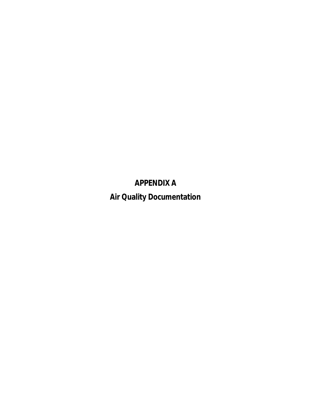**APPENDIX A Air Quality Documentation**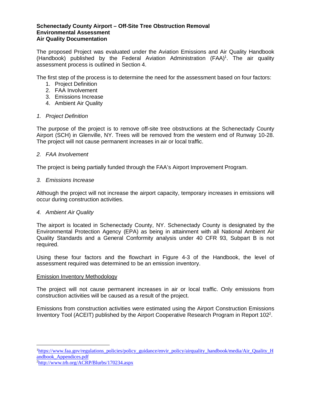## **Schenectady County Airport – Off-Site Tree Obstruction Removal Environmental Assessment Air Quality Documentation**

The proposed Project was evaluated under the Aviation Emissions and Air Quality Handbook (Handbook) published by the Federal Aviation Administration (FAA)<sup>1</sup>. The air quality assessment process is outlined in Section 4.

The first step of the process is to determine the need for the assessment based on four factors:

- 1. Project Definition
- 2. FAA Involvement
- 3. Emissions Increase
- 4. Ambient Air Quality

## *1. Project Definition*

The purpose of the project is to remove off-site tree obstructions at the Schenectady County Airport (SCH) in Glenville, NY. Trees will be removed from the western end of Runway 10-28. The project will not cause permanent increases in air or local traffic.

## *2. FAA Involvement*

The project is being partially funded through the FAA's Airport Improvement Program.

## *3. Emissions Increase*

Although the project will not increase the airport capacity, temporary increases in emissions will occur during construction activities.

# *4. Ambient Air Quality*

The airport is located in Schenectady County, NY. Schenectady County is designated by the Environmental Protection Agency (EPA) as being in attainment with all National Ambient Air Quality Standards and a General Conformity analysis under 40 CFR 93, Subpart B is not required.

Using these four factors and the flowchart in Figure 4-3 of the Handbook, the level of assessment required was determined to be an emission inventory.

## Emission Inventory Methodology

The project will not cause permanent increases in air or local traffic. Only emissions from construction activities will be caused as a result of the project.

Emissions from construction activities were estimated using the Airport Construction Emissions Inventory Tool (ACEIT) published by the Airport Cooperative Research Program in Report 102<sup>2</sup>.

<sup>&</sup>lt;sup>1</sup>https://www.faa.gov/regulations\_policies/policy\_guidance/envir\_policy/airquality\_handbook/media/Air\_Quality\_H andbook\_Appendices.pdf

<sup>2</sup>http://www.trb.org/ACRP/Blurbs/170234.aspx